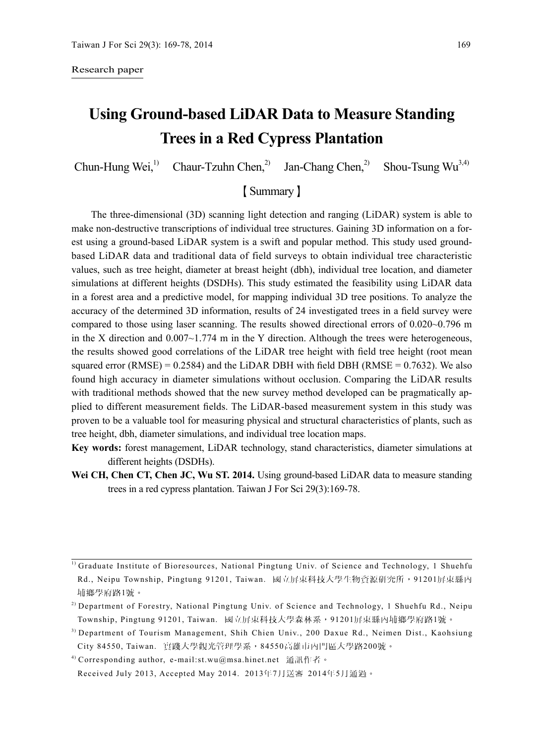#### Research paper

# **Using Ground-based LiDAR Data to Measure Standing Trees in a Red Cypress Plantation**

Chun-Hung Wei,<sup>1)</sup> Chaur-Tzuhn Chen,<sup>2)</sup> Jan-Chang Chen,<sup>2)</sup> Shou-Tsung Wu<sup>3,4)</sup>

# 【Summary】

The three-dimensional (3D) scanning light detection and ranging (LiDAR) system is able to make non-destructive transcriptions of individual tree structures. Gaining 3D information on a forest using a ground-based LiDAR system is a swift and popular method. This study used groundbased LiDAR data and traditional data of field surveys to obtain individual tree characteristic values, such as tree height, diameter at breast height (dbh), individual tree location, and diameter simulations at different heights (DSDHs). This study estimated the feasibility using LiDAR data in a forest area and a predictive model, for mapping individual 3D tree positions. To analyze the accuracy of the determined 3D information, results of 24 investigated trees in a field survey were compared to those using laser scanning. The results showed directional errors of 0.020~0.796 m in the X direction and  $0.007 \sim 1.774$  m in the Y direction. Although the trees were heterogeneous, the results showed good correlations of the LiDAR tree height with field tree height (root mean squared error  $(RMSE) = 0.2584$  and the LiDAR DBH with field DBH (RMSE = 0.7632). We also found high accuracy in diameter simulations without occlusion. Comparing the LiDAR results with traditional methods showed that the new survey method developed can be pragmatically applied to different measurement fields. The LiDAR-based measurement system in this study was proven to be a valuable tool for measuring physical and structural characteristics of plants, such as tree height, dbh, diameter simulations, and individual tree location maps.

- **Key words:** forest management, LiDAR technology, stand characteristics, diameter simulations at different heights (DSDHs).
- Wei CH, Chen CT, Chen JC, Wu ST. 2014. Using ground-based LiDAR data to measure standing trees in a red cypress plantation. Taiwan J For Sci 29(3):169-78.

 $<sup>1)</sup>$  Graduate Institute of Bioresources, National Pingtung Univ. of Science and Technology, 1 Shuehfu</sup> Rd., Neipu Township, Pingtung 91201, Taiwan. 國立屏東科技大學生物資源研究所,91201屏東縣內 埔鄉學府路1號。

<sup>&</sup>lt;sup>2)</sup> Department of Forestry, National Pingtung Univ. of Science and Technology, 1 Shuehfu Rd., Neipu Township, Pingtung 91201, Taiwan. 國立屏東科技大學森林系,91201屏東縣內埔鄉學府路1號。

<sup>3)</sup> Department of Tourism Management, Shih Chien Univ., 200 Daxue Rd., Neimen Dist., Kaohsiung City 84550, Taiwan. 實踐大學觀光管理學系,84550高雄市內門區大學路200號。

<sup>&</sup>lt;sup>4)</sup> Corresponding author, e-mail:st.wu@msa.hinet.net 通訊作者。

Received July 2013, Accepted May 2014. 2013年7月送審 2014年5月通過。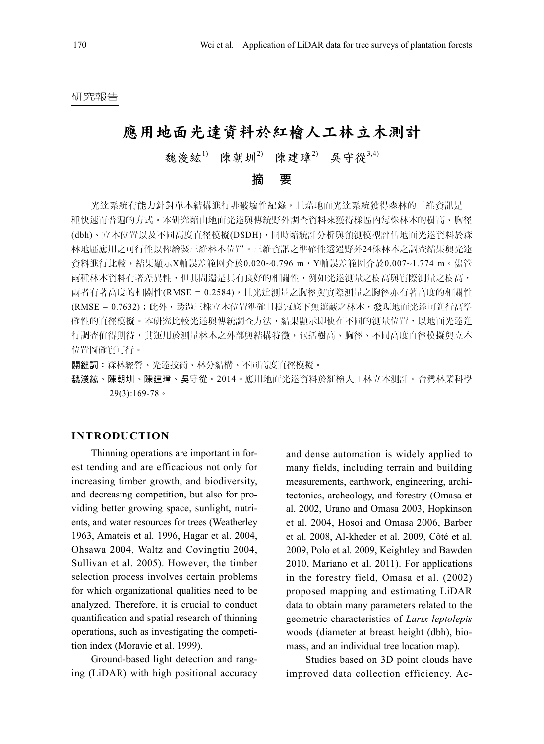#### 研究報告

# 應用地面光達資料於紅檜人工林立木測計

魏浚紘<sup>1)</sup> 陳朝圳<sup>2)</sup> 陳建璋<sup>2)</sup> 吳守從3,4)

摘 要

光達系統有能力針對單木結構進行非破壞性紀錄,且藉地面光達系統獲得森林的三維資訊是一 種快速而普遍的方式。本研究藉由地面光達與傳統野外調查資料來獲得樣區內每株林木的樹高、胸徑 (dbh)、立木位置以及不同高度直徑模擬(DSDH),同時藉統計分析與預測模型評估地面光達資料於森 林地區應用之可行性以俾繪製三維林木位置。三維資訊之準確性透過野外24株林木之調查結果與光達 資料進行比較,結果顯示X軸誤差範圍介於0.020~0.796 m, Y軸誤差範圍介於0.007~1.774 m。儘管 兩種林木資料有著差異性,但其間還是具有良好的相關性,例如光達測量之樹高與電學的測量之樹高, 兩者有著高度的相關性(RMSE = 0.2584),且光達測量之胸徑與實際測量之胸徑亦有著高度的相關性 (RMSE = 0.7632);此外,透過三株立木位置準確且樹冠底下無遮蔽之林木,發現地面光達可進行高準 確性的直徑模擬。本研究比較光達與傳統調查方法,結果顯示即使在不同的測量位置,以地面光達進 行調查值得期待,其運用於測量林木之外部與結構特徵,包括樹高、胸徑、不同高度直徑模擬與立木 位置圖確實可行。

關鍵詞:森林經營、光達技術、林分結構、不同高度直徑模擬。

魏浚紘、陳朝圳、陳建璋、吳守從。2014。應用地面光達資料於紅檜人工林立木測計。台灣林業科學 29(3):169-78。

#### **INTRODUCTION**

Thinning operations are important in forest tending and are efficacious not only for increasing timber growth, and biodiversity, and decreasing competition, but also for providing better growing space, sunlight, nutrients, and water resources for trees (Weatherley 1963, Amateis et al. 1996, Hagar et al. 2004, Ohsawa 2004, Waltz and Covingtiu 2004, Sullivan et al. 2005). However, the timber selection process involves certain problems for which organizational qualities need to be analyzed. Therefore, it is crucial to conduct quantification and spatial research of thinning operations, such as investigating the competition index (Moravie et al. 1999).

Ground-based light detection and ranging (LiDAR) with high positional accuracy

and dense automation is widely applied to many fields, including terrain and building measurements, earthwork, engineering, architectonics, archeology, and forestry (Omasa et al. 2002, Urano and Omasa 2003, Hopkinson et al. 2004, Hosoi and Omasa 2006, Barber et al. 2008, Al-kheder et al. 2009, Côté et al. 2009, Polo et al. 2009, Keightley and Bawden 2010, Mariano et al. 2011). For applications in the forestry field, Omasa et al. (2002) proposed mapping and estimating LiDAR data to obtain many parameters related to the geometric characteristics of *Larix leptolepis* woods (diameter at breast height (dbh), biomass, and an individual tree location map).

Studies based on 3D point clouds have improved data collection efficiency. Ac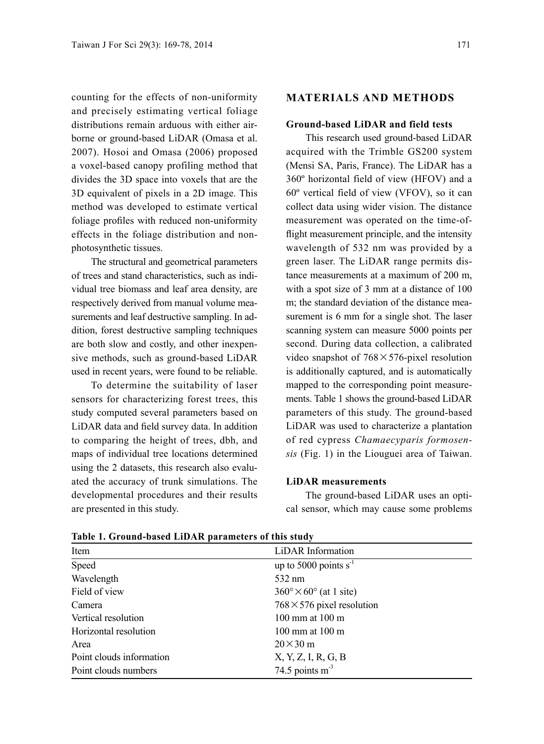counting for the effects of non-uniformity and precisely estimating vertical foliage distributions remain arduous with either airborne or ground-based LiDAR (Omasa et al. 2007). Hosoi and Omasa (2006) proposed a voxel-based canopy profiling method that divides the 3D space into voxels that are the 3D equivalent of pixels in a 2D image. This method was developed to estimate vertical foliage profiles with reduced non-uniformity effects in the foliage distribution and nonphotosynthetic tissues.

The structural and geometrical parameters of trees and stand characteristics, such as individual tree biomass and leaf area density, are respectively derived from manual volume measurements and leaf destructive sampling. In addition, forest destructive sampling techniques are both slow and costly, and other inexpensive methods, such as ground-based LiDAR used in recent years, were found to be reliable.

To determine the suitability of laser sensors for characterizing forest trees, this study computed several parameters based on LiDAR data and field survey data. In addition to comparing the height of trees, dbh, and maps of individual tree locations determined using the 2 datasets, this research also evaluated the accuracy of trunk simulations. The developmental procedures and their results are presented in this study.

#### **MATERIALS AND METHODS**

#### **Ground-based LiDAR and field tests**

This research used ground-based LiDAR acquired with the Trimble GS200 system (Mensi SA, Paris, France). The LiDAR has a 360º horizontal field of view (HFOV) and a 60º vertical field of view (VFOV), so it can collect data using wider vision. The distance measurement was operated on the time-offlight measurement principle, and the intensity wavelength of 532 nm was provided by a green laser. The LiDAR range permits distance measurements at a maximum of 200 m, with a spot size of 3 mm at a distance of 100 m; the standard deviation of the distance measurement is 6 mm for a single shot. The laser scanning system can measure 5000 points per second. During data collection, a calibrated video snapshot of  $768 \times 576$ -pixel resolution is additionally captured, and is automatically mapped to the corresponding point measurements. Table 1 shows the ground-based LiDAR parameters of this study. The ground-based LiDAR was used to characterize a plantation of red cypress *Chamaecyparis formosensis* (Fig. 1) in the Liouguei area of Taiwan.

#### **LiDAR measurements**

The ground-based LiDAR uses an optical sensor, which may cause some problems

| Item                     | LiDAR Information                           |
|--------------------------|---------------------------------------------|
| Speed                    | up to 5000 points $s^{-1}$                  |
| Wavelength               | 532 nm                                      |
| Field of view            | $360^{\circ} \times 60^{\circ}$ (at 1 site) |
| Camera                   | $768 \times 576$ pixel resolution           |
| Vertical resolution      | $100 \text{ mm}$ at $100 \text{ m}$         |
| Horizontal resolution    | $100 \text{ mm}$ at $100 \text{ m}$         |
| Area                     | $20\times30$ m                              |
| Point clouds information | X, Y, Z, I, R, G, B                         |
| Point clouds numbers     | 74.5 points $m3$                            |

**Table 1. Ground-based LiDAR parameters of this study**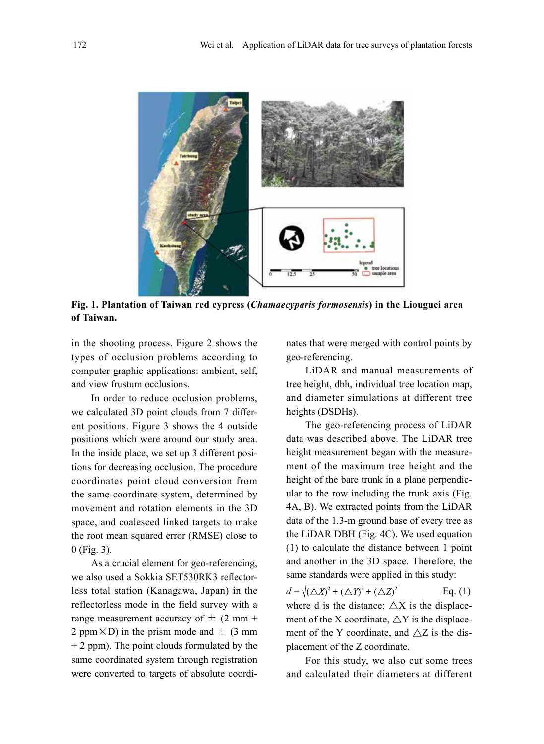

**Fig. 1. Plantation of Taiwan red cypress (***Chamaecyparis formosensis***) in the Liouguei area of Taiwan.**

in the shooting process. Figure 2 shows the types of occlusion problems according to computer graphic applications: ambient, self, and view frustum occlusions.

In order to reduce occlusion problems, we calculated 3D point clouds from 7 different positions. Figure 3 shows the 4 outside positions which were around our study area. In the inside place, we set up 3 different positions for decreasing occlusion. The procedure coordinates point cloud conversion from the same coordinate system, determined by movement and rotation elements in the 3D space, and coalesced linked targets to make the root mean squared error (RMSE) close to 0 (Fig. 3).

As a crucial element for geo-referencing, we also used a Sokkia SET530RK3 reflectorless total station (Kanagawa, Japan) in the reflectorless mode in the field survey with a range measurement accuracy of  $\pm$  (2 mm + 2 ppm $\times$ D) in the prism mode and  $\pm$  (3 mm) + 2 ppm). The point clouds formulated by the same coordinated system through registration were converted to targets of absolute coordinates that were merged with control points by geo-referencing.

LiDAR and manual measurements of tree height, dbh, individual tree location map, and diameter simulations at different tree heights (DSDHs).

The geo-referencing process of LiDAR data was described above. The LiDAR tree height measurement began with the measurement of the maximum tree height and the height of the bare trunk in a plane perpendicular to the row including the trunk axis (Fig. 4A, B). We extracted points from the LiDAR data of the 1.3-m ground base of every tree as the LiDAR DBH (Fig. 4C). We used equation (1) to calculate the distance between 1 point and another in the 3D space. Therefore, the same standards were applied in this study:

 $d = \sqrt{(\triangle X)^2 + (\triangle Y)^2 + (\triangle Z)^2}$  Eq. (1) where d is the distance;  $\triangle X$  is the displacement of the X coordinate,  $\triangle$ Y is the displacement of the Y coordinate, and  $\triangle Z$  is the displacement of the Z coordinate.

For this study, we also cut some trees and calculated their diameters at different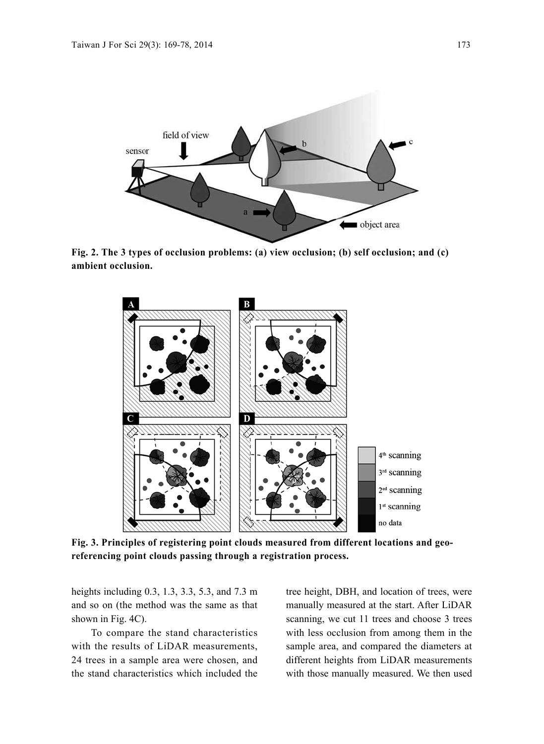

**Fig. 2. The 3 types of occlusion problems: (a) view occlusion; (b) self occlusion; and (c) ambient occlusion.**



**Fig. 3. Principles of registering point clouds measured from different locations and georeferencing point clouds passing through a registration process.**

heights including 0.3, 1.3, 3.3, 5.3, and 7.3 m and so on (the method was the same as that shown in Fig. 4C).

To compare the stand characteristics with the results of LiDAR measurements, 24 trees in a sample area were chosen, and the stand characteristics which included the tree height, DBH, and location of trees, were manually measured at the start. After LiDAR scanning, we cut 11 trees and choose 3 trees with less occlusion from among them in the sample area, and compared the diameters at different heights from LiDAR measurements with those manually measured. We then used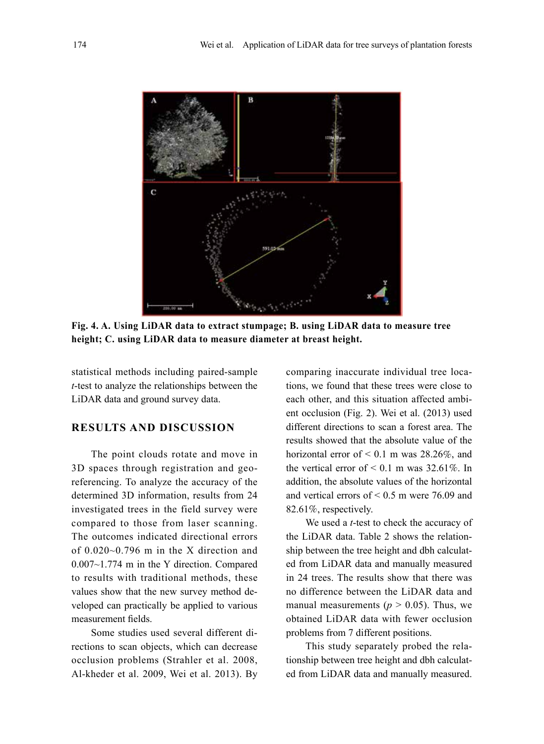

**Fig. 4. A. Using LiDAR data to extract stumpage; B. using LiDAR data to measure tree height; C. using LiDAR data to measure diameter at breast height.**

statistical methods including paired-sample *t*-test to analyze the relationships between the LiDAR data and ground survey data.

## **RESULTS AND DISCUSSION**

The point clouds rotate and move in 3D spaces through registration and georeferencing. To analyze the accuracy of the determined 3D information, results from 24 investigated trees in the field survey were compared to those from laser scanning. The outcomes indicated directional errors of 0.020~0.796 m in the X direction and 0.007~1.774 m in the Y direction. Compared to results with traditional methods, these values show that the new survey method developed can practically be applied to various measurement fields.

Some studies used several different directions to scan objects, which can decrease occlusion problems (Strahler et al. 2008, Al-kheder et al. 2009, Wei et al. 2013). By comparing inaccurate individual tree locations, we found that these trees were close to each other, and this situation affected ambient occlusion (Fig. 2). Wei et al. (2013) used different directions to scan a forest area. The results showed that the absolute value of the horizontal error of  $< 0.1$  m was 28.26%, and the vertical error of  $< 0.1$  m was 32.61%. In addition, the absolute values of the horizontal and vertical errors of < 0.5 m were 76.09 and 82.61%, respectively.

We used a *t*-test to check the accuracy of the LiDAR data. Table 2 shows the relationship between the tree height and dbh calculated from LiDAR data and manually measured in 24 trees. The results show that there was no difference between the LiDAR data and manual measurements ( $p > 0.05$ ). Thus, we obtained LiDAR data with fewer occlusion problems from 7 different positions.

This study separately probed the relationship between tree height and dbh calculated from LiDAR data and manually measured.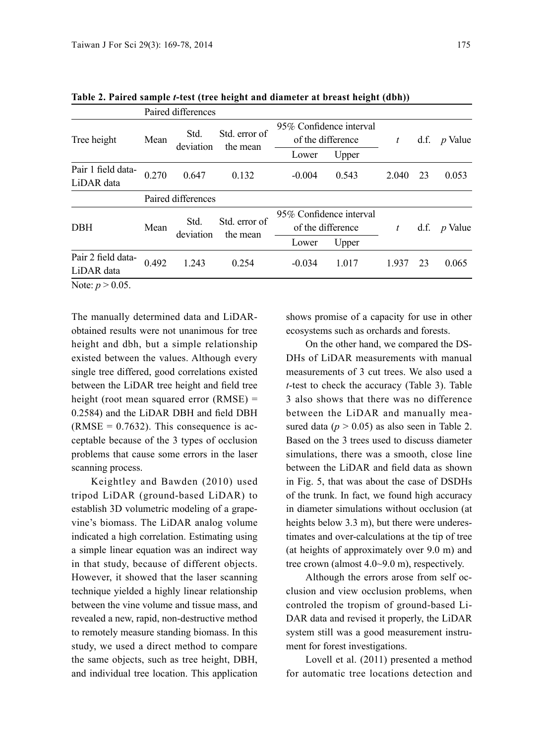|                                  | Paired differences |                   |                           |                                                                |       |       |    |                |
|----------------------------------|--------------------|-------------------|---------------------------|----------------------------------------------------------------|-------|-------|----|----------------|
| Tree height                      | Mean               | Std.<br>deviation | Std. error of<br>the mean | 95% Confidence interval<br>of the difference<br>Upper<br>Lower |       |       |    | d.f. $p$ Value |
| Pair 1 field data-<br>LiDAR data | 0.270              | 0.647             | 0.132                     | $-0.004$                                                       | 0.543 | 2.040 | 23 | 0.053          |
|                                  | Paired differences |                   |                           |                                                                |       |       |    |                |
| <b>DBH</b>                       | Mean               | Std.<br>deviation | Std. error of<br>the mean | 95% Confidence interval<br>of the difference<br>Upper<br>Lower |       |       |    | d.f. $p$ Value |
| Pair 2 field data-<br>LiDAR data | 0.492              | 1.243             | 0.254                     | $-0.034$                                                       | 1.017 | 1.937 | 23 | 0.065          |
| Note: $p > 0.05$ .               |                    |                   |                           |                                                                |       |       |    |                |

**Table 2. Paired sample** *t***-test (tree height and diameter at breast height (dbh))**

The manually determined data and LiDARobtained results were not unanimous for tree height and dbh, but a simple relationship existed between the values. Although every single tree differed, good correlations existed between the LiDAR tree height and field tree height (root mean squared error (RMSE) = 0.2584) and the LiDAR DBH and field DBH  $(RMSE = 0.7632)$ . This consequence is acceptable because of the 3 types of occlusion problems that cause some errors in the laser scanning process.

Keightley and Bawden (2010) used tripod LiDAR (ground-based LiDAR) to establish 3D volumetric modeling of a grapevine's biomass. The LiDAR analog volume indicated a high correlation. Estimating using a simple linear equation was an indirect way in that study, because of different objects. However, it showed that the laser scanning technique yielded a highly linear relationship between the vine volume and tissue mass, and revealed a new, rapid, non-destructive method to remotely measure standing biomass. In this study, we used a direct method to compare the same objects, such as tree height, DBH, and individual tree location. This application

shows promise of a capacity for use in other ecosystems such as orchards and forests.

On the other hand, we compared the DS-DHs of LiDAR measurements with manual measurements of 3 cut trees. We also used a *t*-test to check the accuracy (Table 3). Table 3 also shows that there was no difference between the LiDAR and manually measured data  $(p > 0.05)$  as also seen in Table 2. Based on the 3 trees used to discuss diameter simulations, there was a smooth, close line between the LiDAR and field data as shown in Fig. 5, that was about the case of DSDHs of the trunk. In fact, we found high accuracy in diameter simulations without occlusion (at heights below 3.3 m), but there were underestimates and over-calculations at the tip of tree (at heights of approximately over 9.0 m) and tree crown (almost 4.0~9.0 m), respectively.

Although the errors arose from self occlusion and view occlusion problems, when controled the tropism of ground-based Li-DAR data and revised it properly, the LiDAR system still was a good measurement instrument for forest investigations.

Lovell et al. (2011) presented a method for automatic tree locations detection and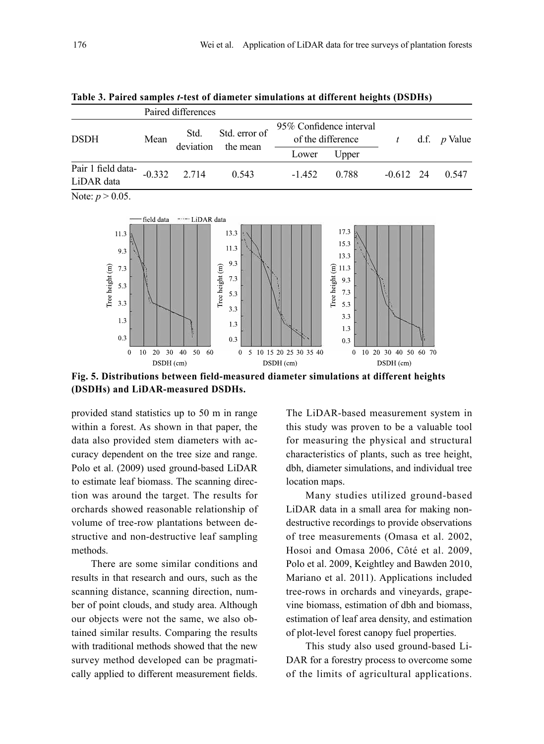| Table 3. Paired samples <i>t</i> -test of diameter simulations at different heights (DSDHs) |  |  |  |  |  |  |
|---------------------------------------------------------------------------------------------|--|--|--|--|--|--|
|---------------------------------------------------------------------------------------------|--|--|--|--|--|--|

|                                  | Paired differences |                   |                           |                                              |       |             |  |                     |
|----------------------------------|--------------------|-------------------|---------------------------|----------------------------------------------|-------|-------------|--|---------------------|
| <b>DSDH</b>                      | Mean               | Std.<br>deviation | Std. error of<br>the mean | 95% Confidence interval<br>of the difference |       | t           |  | d.f. <i>p</i> Value |
|                                  |                    |                   |                           | Lower                                        | Upper |             |  |                     |
| Pair 1 field data-<br>LiDAR data | $-0.332$           | 2.714             | 0.543                     | $-1.452$                                     | 0.788 | $-0.612$ 24 |  | 0.547               |
|                                  |                    |                   |                           |                                              |       |             |  |                     |

Note:  $p > 0.05$ .



**Fig. 5. Distributions between field-measured diameter simulations at different heights (DSDHs) and LiDAR-measured DSDHs.**

provided stand statistics up to 50 m in range within a forest. As shown in that paper, the data also provided stem diameters with accuracy dependent on the tree size and range. Polo et al. (2009) used ground-based LiDAR to estimate leaf biomass. The scanning direction was around the target. The results for orchards showed reasonable relationship of volume of tree-row plantations between destructive and non-destructive leaf sampling methods.

There are some similar conditions and results in that research and ours, such as the scanning distance, scanning direction, number of point clouds, and study area. Although our objects were not the same, we also obtained similar results. Comparing the results with traditional methods showed that the new survey method developed can be pragmatically applied to different measurement fields.

The LiDAR-based measurement system in this study was proven to be a valuable tool for measuring the physical and structural characteristics of plants, such as tree height, dbh, diameter simulations, and individual tree location maps.

Many studies utilized ground-based LiDAR data in a small area for making nondestructive recordings to provide observations of tree measurements (Omasa et al. 2002, Hosoi and Omasa 2006, Côté et al. 2009, Polo et al. 2009, Keightley and Bawden 2010, Mariano et al. 2011). Applications included tree-rows in orchards and vineyards, grapevine biomass, estimation of dbh and biomass, estimation of leaf area density, and estimation of plot-level forest canopy fuel properties.

This study also used ground-based Li-DAR for a forestry process to overcome some of the limits of agricultural applications.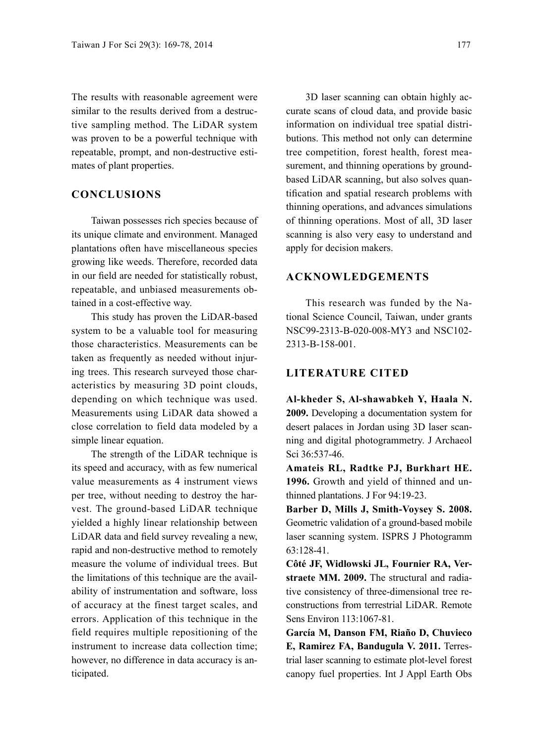The results with reasonable agreement were similar to the results derived from a destructive sampling method. The LiDAR system was proven to be a powerful technique with repeatable, prompt, and non-destructive estimates of plant properties.

### **CONCLUSIONS**

Taiwan possesses rich species because of its unique climate and environment. Managed plantations often have miscellaneous species growing like weeds. Therefore, recorded data in our field are needed for statistically robust, repeatable, and unbiased measurements obtained in a cost-effective way.

This study has proven the LiDAR-based system to be a valuable tool for measuring those characteristics. Measurements can be taken as frequently as needed without injuring trees. This research surveyed those characteristics by measuring 3D point clouds, depending on which technique was used. Measurements using LiDAR data showed a close correlation to field data modeled by a simple linear equation.

The strength of the LiDAR technique is its speed and accuracy, with as few numerical value measurements as 4 instrument views per tree, without needing to destroy the harvest. The ground-based LiDAR technique yielded a highly linear relationship between LiDAR data and field survey revealing a new, rapid and non-destructive method to remotely measure the volume of individual trees. But the limitations of this technique are the availability of instrumentation and software, loss of accuracy at the finest target scales, and errors. Application of this technique in the field requires multiple repositioning of the instrument to increase data collection time; however, no difference in data accuracy is anticipated.

3D laser scanning can obtain highly accurate scans of cloud data, and provide basic information on individual tree spatial distributions. This method not only can determine tree competition, forest health, forest measurement, and thinning operations by groundbased LiDAR scanning, but also solves quantification and spatial research problems with thinning operations, and advances simulations of thinning operations. Most of all, 3D laser scanning is also very easy to understand and apply for decision makers.

#### **ACKNOWLEDGEMENTS**

This research was funded by the National Science Council, Taiwan, under grants NSC99-2313-B-020-008-MY3 and NSC102- 2313-B-158-001.

#### **LITERATURE CITED**

**Al-kheder S, Al-shawabkeh Y, Haala N. 2009.** Developing a documentation system for desert palaces in Jordan using 3D laser scanning and digital photogrammetry. J Archaeol Sci 36:537-46.

**Amateis RL, Radtke PJ, Burkhart HE. 1996.** Growth and yield of thinned and unthinned plantations. J For 94:19-23.

**Barber D, Mills J, Smith-Voysey S. 2008.** Geometric validation of a ground-based mobile laser scanning system. ISPRS J Photogramm 63:128-41.

**Côté JF, Widlowski JL, Fournier RA, Verstraete MM. 2009.** The structural and radiative consistency of three-dimensional tree reconstructions from terrestrial LiDAR. Remote Sens Environ 113:1067-81.

**García M, Danson FM, Riaño D, Chuvieco E, Ramirez FA, Bandugula V. 2011.** Terrestrial laser scanning to estimate plot-level forest canopy fuel properties. Int J Appl Earth Obs